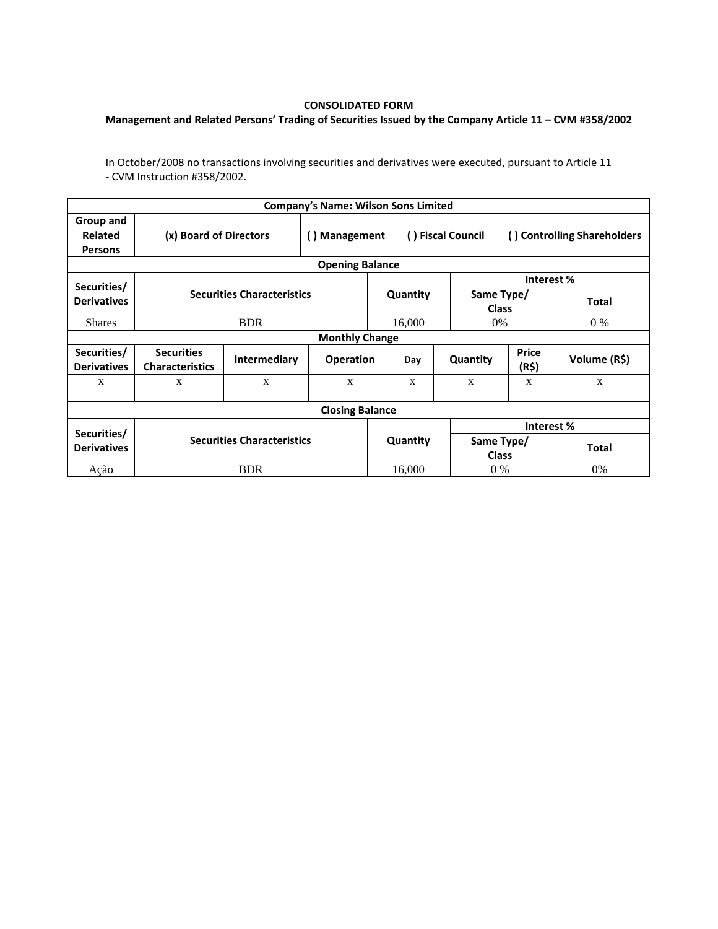## **CONSOLIDATED FORM**

## **Management and Related Persons' Trading of Securities Issued by the Company Article 11 – CVM #358/2002**

In October/2008 no transactions involving securities and derivatives were executed, pursuant to Article 11 - CVM Instruction #358/2002.

|                                                         |                                             |              | <b>Company's Name: Wilson Sons Limited</b> |          |                   |                            |                             |              |  |  |  |
|---------------------------------------------------------|---------------------------------------------|--------------|--------------------------------------------|----------|-------------------|----------------------------|-----------------------------|--------------|--|--|--|
| Group and<br>Related<br><b>Persons</b>                  | (x) Board of Directors                      |              | <b>Management</b><br>$\left( \right)$      |          | () Fiscal Council |                            | () Controlling Shareholders |              |  |  |  |
|                                                         |                                             |              | <b>Opening Balance</b>                     |          |                   |                            |                             |              |  |  |  |
| Securities/                                             |                                             |              |                                            |          |                   | Interest %                 |                             |              |  |  |  |
| <b>Securities Characteristics</b><br><b>Derivatives</b> |                                             |              |                                            | Quantity |                   | Same Type/<br><b>Class</b> |                             | <b>Total</b> |  |  |  |
| <b>Shares</b>                                           | <b>BDR</b>                                  |              |                                            |          | 16,000            |                            | $0\%$<br>0%                 |              |  |  |  |
| <b>Monthly Change</b>                                   |                                             |              |                                            |          |                   |                            |                             |              |  |  |  |
| Securities/<br><b>Derivatives</b>                       | <b>Securities</b><br><b>Characteristics</b> | Intermediary | <b>Operation</b>                           |          | Day               | Quantity                   | <b>Price</b><br>(R\$)       | Volume (R\$) |  |  |  |
| X                                                       | X                                           | X            | X                                          |          | X                 | X                          | X                           | $\mathbf{X}$ |  |  |  |
| <b>Closing Balance</b>                                  |                                             |              |                                            |          |                   |                            |                             |              |  |  |  |
|                                                         |                                             |              |                                            |          |                   | Interest%                  |                             |              |  |  |  |
| Securities/<br><b>Derivatives</b>                       | <b>Securities Characteristics</b>           |              |                                            | Quantity |                   | Same Type/<br><b>Class</b> |                             | <b>Total</b> |  |  |  |
| Ação                                                    | <b>BDR</b>                                  |              |                                            |          | 16,000            | $0\%$                      |                             | $0\%$        |  |  |  |